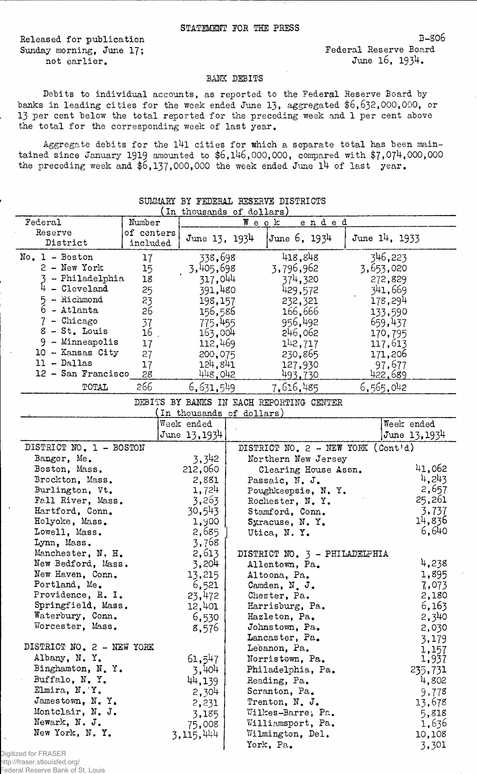Released for publication Sunday morning, June 17; not earlier.

Federal Reserve Board June 16, 1934.

## BANK DEBITS

Debits to individual accounts, as reported to the Federal Reserve Board by banks in leading cities for the week ended June 13, aggregated \$6,632,000,000, or 13 per cent below the total reported for the preceding week and 1 per cent above the total for the corresponding week of last year.

Aggregate debits for the 141 cities for which a separate total has been maintained since January 1919 amounted to  $$6,146,000,000$ , compared with  $$7,074,000,000$ the preceding week and  $$6,137,000,000$  the week ended June 14 of last year.

| (In thousands of dollars)               |            |                                          |             |                                      |       |  |                      |              |
|-----------------------------------------|------------|------------------------------------------|-------------|--------------------------------------|-------|--|----------------------|--------------|
| Federal                                 | Number     |                                          | $W$ e e $k$ |                                      | ended |  |                      |              |
| Reserve                                 | of centers |                                          |             |                                      |       |  |                      |              |
| District                                | included   | June $13, 1934$                          |             | June 6, 1934                         |       |  | June 14, 1933        |              |
| $No. 1 - Boston$                        | 17         | 338,698                                  |             | 418,848                              |       |  | 346,223              |              |
| $2 - New York$                          | 15         | 3,405,698                                |             | 3,796,962                            |       |  | 3,653,020            |              |
| - Philadelphia                          | 18         | 317,044                                  |             | 374,320                              |       |  | 272,829              |              |
| - Cleveland                             | 25         | 391,480                                  |             | 429,572                              |       |  | 341,669              |              |
| 5 - Richmond                            |            |                                          |             |                                      |       |  |                      |              |
| $6$ - Atlanta                           | 23         | 198,157                                  |             | 232,321                              |       |  | <sub>.</sub> 178,294 |              |
| $7$ - Chicago                           | 26         | 156,586                                  |             | 166,666                              |       |  | 133,590              |              |
|                                         | 37         | 775,455                                  |             | 956,492                              |       |  | 659,437              |              |
| $8 - St$ . Louis                        | 16         | 163,004                                  |             | 246,062                              |       |  | 170,795              |              |
| $9$ - Minneapolis                       | 17         | 112,469                                  |             | $1^{1}2,717$                         |       |  | 117,613              |              |
| 10 - Kansas City                        | 27         | 200,075                                  |             | 230,865                              |       |  | 171,206              |              |
| $11 - D^{allas}$                        | 17         | 124,841                                  |             | 127,930                              |       |  | 97,677               |              |
| 12 - San Francisco                      | 28         | 448,042                                  |             | 493.730                              |       |  | 422,689              |              |
| TOTAL                                   | 266        | 6,631,549                                |             | 7,616,485                            |       |  | 6,565,042            |              |
|                                         |            | DEBITS BY BANKS IN EACH REPORTING CENTER |             |                                      |       |  |                      |              |
|                                         |            | In thousands of dollars)                 |             |                                      |       |  |                      |              |
|                                         |            | Week ended                               |             |                                      |       |  | Week ended           |              |
|                                         |            | June $13,1934$                           |             |                                      |       |  |                      | June 13,1934 |
| DISTRICT NO. 1 - BOSTON                 |            |                                          |             | DISTRICT NO. $2$ - NEW YORK (Cont'd) |       |  |                      |              |
| Bangor, Me.                             |            | 3,342                                    |             | Northern New Jersey                  |       |  |                      |              |
| Boston, Mass.                           |            | 212,060                                  |             | Clearing House Assn.                 |       |  |                      | 41,062       |
| Brockton, Mass.                         |            | 2,881                                    |             | Passaic, N. J.                       |       |  |                      | 4,243        |
| Burlington, Vt.                         |            | 1,724                                    |             | Poughkeepsie, N.Y.                   |       |  |                      | 2,657        |
| Fall River, Mass.                       |            | 3,263                                    |             | Rochester, N.Y.                      |       |  |                      | 25,261       |
| Hartford, Conn.                         |            | 30,543                                   |             | Stamford, Conn.                      |       |  |                      | 3,737        |
| Holyoke, Mass.                          |            | 1,900                                    |             | Syracuse, N.Y.                       |       |  |                      | 14,836       |
| Lowell, Mass.                           |            | 2,685                                    |             | Utica, N.Y.                          |       |  |                      | 6,640        |
| Lynn, Mass.                             |            | 3,768                                    |             |                                      |       |  |                      |              |
| Manchester, N. H.                       |            | 2,613                                    |             | DISTRICT NO. 3 - PHILADELPHIA        |       |  |                      |              |
| New Bedford, Mass.                      |            |                                          |             | Allentown, Pa.                       |       |  |                      | 4,238        |
| New Haven, Conn.                        |            | 3,204                                    |             |                                      |       |  |                      |              |
|                                         |            | 13,215                                   |             | Altoona, Pa.                         |       |  |                      | 1,895        |
| Portland, Me.                           |            | 6,521                                    |             | Camden, N. J.                        |       |  |                      | 7,073        |
| Providence, R. I.<br>Springfield, Mass. |            | 23,472                                   |             | Chester, Pa.                         |       |  |                      | 2,180        |
|                                         |            | 12,401                                   |             | Harrisburg, Pa.                      |       |  |                      | 6,163        |
| Waterbury, Conn.                        |            | 6,530                                    |             | Hazleton, Pa.                        |       |  |                      | 2,340        |
| Worcester, Mass.                        |            | 8,576                                    |             | Johnstown, Pa.                       |       |  |                      | 2,030        |
|                                         |            |                                          |             | Lancaster, Pa.                       |       |  |                      | 3,179        |
| DISTRICT NO. 2 - NEW YORK               |            |                                          |             | Lebanon, Pa.                         |       |  |                      | 1,157        |
| Albany, N.Y.                            |            | 61,547                                   |             | Norristown, Pa.                      |       |  |                      | 1,937        |
| Binghamton, N.Y.                        |            | 3,404                                    |             | Philadelphia, Pa.                    |       |  |                      | 235,731      |
| Buffalo, N.Y.                           |            | 44,139                                   |             | Reading, Pa.                         |       |  |                      | 4,802        |
| Elmira, N.Y.                            |            | 2,304                                    |             | Scranton, Pa.                        |       |  |                      | 9,778        |
| Jamestown, N.Y.                         |            | 2,231                                    |             | Trenton, N. J.                       |       |  |                      | 13,678       |
| Montclair, N. J.                        |            | 3,185                                    |             | Wilkes-Barre; Pa.                    |       |  |                      | 5,818        |
| Newark, N. J.                           |            | 75,008                                   |             | Williamsport, Pa.                    |       |  |                      | 1,636        |
| New York, N.Y.                          |            | 3,115,444                                |             | Wilmington, Del.                     |       |  |                      | 10,108       |
|                                         |            |                                          |             | York, Pa.                            |       |  |                      | 3,301        |

## SUMMARY BY FEDERAL HESERVE DISTRICTS

Digitized for FRASER http://fraser.stlouisfed.org/ Federal Reserve Bank of St. Louis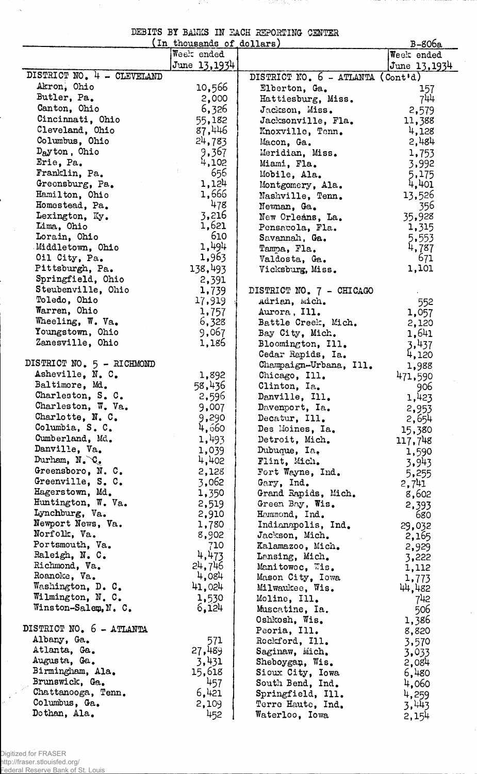|  |  | DEBITS BY BAWKS IN EACH REPORTING CENTER |  |
|--|--|------------------------------------------|--|
|  |  |                                          |  |

क्तिकेच

 $\frac{1}{2}$ 

 $\frac{1}{\sqrt{2}}$ 

74 P.S

|                                      | (In thousands of dollars) |                                      | B-806a          |
|--------------------------------------|---------------------------|--------------------------------------|-----------------|
|                                      | Week ended                |                                      | Week ended      |
|                                      | June 13,1934              |                                      | $J$ une 13,1934 |
| DISTRICT NO. 4 - CLEVELAND           |                           | DISTRICT NO. $6 - ATLANTA$ (Cont'd)  |                 |
| Akron, Ohio                          | 10,566                    | Elberton, Ga.                        | 157             |
| Butler, Pa.                          | 2,000                     | Hattiesburg, Miss.                   | 744             |
| Canton, Ohio                         | 6,326                     | Jackson, Miss.                       | 2,579           |
| Cincinnati, Ohio                     | 55,182                    | Jacksonville, Fla.                   | 11,388          |
| Cleveland, Ohio                      | 87,446                    | Knoxville, Tenn.                     | 4,128           |
| Columbus, Ohio                       | 24,783                    | Macon, Ga.                           | 2,484           |
| $Day$ ton, Ohio                      | 9,367                     | Meridian, Miss.                      | 1,753           |
| Erie, Pa.                            | 4,102                     | Miami, Fla.                          | 3,992           |
| Franklin, Pa.                        | 656                       | Mobile, Ala.                         | 5,175           |
| Greensburg, Pa.                      | 1,124                     | Montgomery, Ala.                     | 4,401           |
| Hamilton, Ohio                       | 1,666<br>478              | Nashville, Tenn.                     | 13,526          |
| Homestead, Pa.<br>Lexington, Ky.     | 3,216                     | Newman, Ga.                          | 356             |
| Lima, Ohio                           | 1,621                     | New Orleans, La.                     | 35,928          |
| Lorain, Ohio                         | 610                       | Pensacola, Fla.                      | 1,315           |
| Middletown, Ohio                     | 1,494                     | Savannah, Ga.<br>Tampa, Fla.         | 5,553<br>4,787  |
| Oil City, Pa.                        | 1,963                     | Valdosta, Ga.                        | 671             |
| Pittsburgh, Pa.                      | 138,493                   | Vicksburg, Miss.                     | 1,101           |
| Springfield, Ohio                    | 2,391                     |                                      |                 |
| Steubenville, Ohio                   | 1,739                     | DISTRICT NO. 7 - CHICAGO             |                 |
| Toledo, Ohio                         | 17,919                    | Adrian, wich.                        | 552             |
| Warren, Ohio                         | 1,757                     | Aurora, Ill.                         | 1,057           |
| Wheeling, W. Va.                     | 6,328                     | Battle Creek, Mich.                  | 2,120           |
| Youngstown, Ohio                     | 9,067                     | Bay City, Mich.                      | 1,641           |
| Zanesville, Ohio                     | 1,186                     | Bloomington, Ill.                    | 3,437           |
|                                      |                           | Cedar Rapids, Ia.                    | 4,120           |
| DISTRICT NO. 5 - RICHMOND            |                           | Champaign-Urbana, Ill.               | 1,988           |
| Asheville, N. C.                     | 1,892                     | Chicago, Ill.                        | 471,590         |
| Baltimore, Md.                       | 58,436                    | Clinton, Ia.                         | 906             |
| Charleston, S. C.                    | 2,596                     | Danville, Ill.                       | 1,423           |
| Charleston, W. Va.                   | 9,007                     | Davenport, Ia.                       | 2,953           |
| Charlotte, N. C.                     | 9,290                     | Decatur, Ill.                        | 2,654           |
| Columbia, S. C.                      | 4,660                     | Des Moines, Ia.                      | 15,380          |
| Cumberland, Md.                      | 1,493                     | Detroit, Mich.                       | 117,748         |
| Danville, Va.                        | 1,039                     | Dubuque, Ia.                         | 1,590           |
| Durham, N. C.                        | 4,402                     | Flint, Mich.                         | 3,943           |
| Greensboro, N. C.                    | 2,128                     | Fort Wayne, Ind.                     | 5,255           |
| Greenville, S. C.                    | 3,062                     | Gary, Ind.                           | 2,741           |
| Hagerstown, Md.                      | 1,350                     | Grand Rapids, Mich.                  | 8,602           |
| Huntington, W. Va.<br>Lynchburg, Va. | 2,519                     | Green Bay, Wis.                      | 2,393           |
| Newport News, Va.                    | 2,910                     | Hemmond, Ind.                        | 680             |
| Norfolk, Va.                         | 1,780<br>8,902            | Indianapolis, Ind.<br>Jackson, Mich. | 29,032          |
| Portsmouth, Va.                      | 710                       | Kalamazoo, Mich.                     | 2,165           |
| Raleigh, N. C.                       | 4,473                     | Lansing, Mich.                       | 2,929<br>3,222  |
| Richmond, Va.                        | 24,746                    | Manitowoc, Wis.                      | 1,112           |
| Roanoke, Va.                         | 4,084                     | Mason City, Iowa                     | 1,773           |
| Washington, D. C.                    | 41,024                    | Milwaukee, Wis.                      | 44,482          |
| Wilmington, N. C.                    | 1,530                     | Moline, Ill.                         | 742             |
| Winston-Salem, N. C.                 | 6,124                     | Muscatine, Ia.                       | 506             |
|                                      |                           | Oshkosh, Wis.                        | 1,386           |
| DISTRICT NO. 6 - ATLANTA             |                           | Peoria, Ill.                         | 8,820           |
| Albany, Ga.                          | 571                       | Rockford, Ill.                       | 3,570           |
| Atlanta, Ga.                         | 27,489                    | Saginaw, Mich.                       | 3,033           |
| Augusta, Ga.                         | 3,431                     | Sheboygan, Wis.                      | 2,084           |
| Birmingham, Ala.                     | 15,618                    | Sioux City, Iowa                     | 6,480           |
| Brunswick, Ga.                       | 457                       | South Bend, Ind.                     | 4,060           |
| Chattanooga, Tenn.                   | 6,421                     | Springfield, Ill.                    | 4,259           |
| Columbus, Ga.                        | 2,109                     | Terre Haute, Ind.                    | 3,443           |
| Dothan, Ala.                         | 452                       | Waterloo, Iowa                       | 2,154           |

 $\frac{1}{2}$ 

 $\ddot{\phantom{a}}$